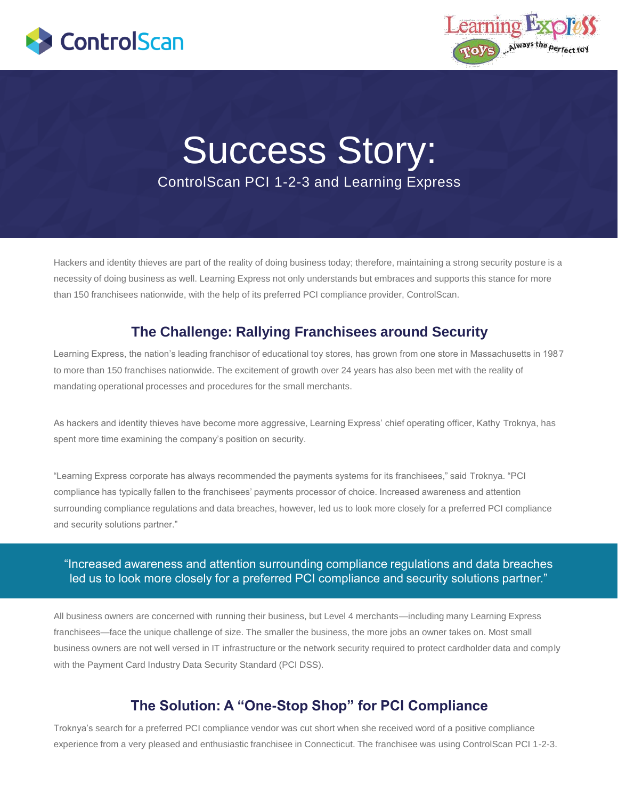



# Success Story: ControlScan PCI 1-2-3 and Learning Express

Hackers and identity thieves are part of the reality of doing business today; therefore, maintaining a strong security posture is a necessity of doing business as well. Learning Express not only understands but embraces and supports this stance for more than 150 franchisees nationwide, with the help of its preferred PCI compliance provider, ControlScan.

## **The Challenge: Rallying Franchisees around Security**

Learning Express, the nation's leading franchisor of educational toy stores, has grown from one store in Massachusetts in 1987 to more than 150 franchises nationwide. The excitement of growth over 24 years has also been met with the reality of mandating operational processes and procedures for the small merchants.

As hackers and identity thieves have become more aggressive, Learning Express' chief operating officer, Kathy Troknya, has spent more time examining the company's position on security.

"Learning Express corporate has always recommended the payments systems for its franchisees," said Troknya. "PCI compliance has typically fallen to the franchisees' payments processor of choice. Increased awareness and attention surrounding compliance regulations and data breaches, however, led us to look more closely for a preferred PCI compliance and security solutions partner."

#### "Increased awareness and attention surrounding compliance regulations and data breaches led us to look more closely for a preferred PCI compliance and security solutions partner."

All business owners are concerned with running their business, but Level 4 merchants—including many Learning Express franchisees—face the unique challenge of size. The smaller the business, the more jobs an owner takes on. Most small business owners are not well versed in IT infrastructure or the network security required to protect cardholder data and comply with the Payment Card Industry Data Security Standard (PCI DSS).

### **The Solution: A "One-Stop Shop" for PCI Compliance**

Troknya's search for a preferred PCI compliance vendor was cut short when she received word of a positive compliance experience from a very pleased and enthusiastic franchisee in Connecticut. The franchisee was using ControlScan PCI 1-2-3.